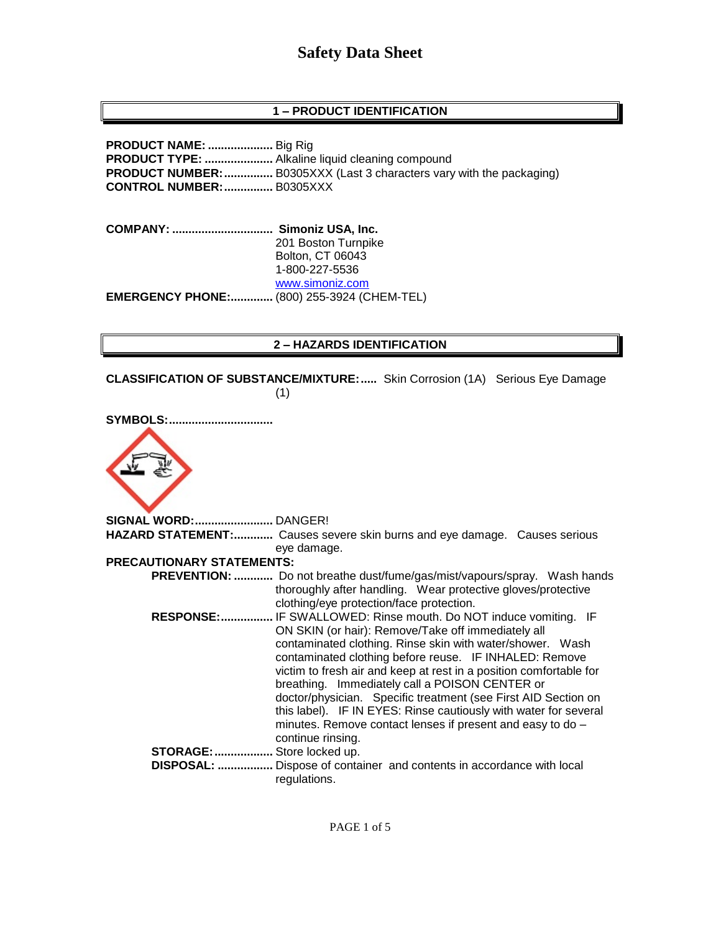## **1 – PRODUCT IDENTIFICATION**

**PRODUCT NAME: ....................** Big Rig **PRODUCT TYPE: .....................** Alkaline liquid cleaning compound **PRODUCT NUMBER:...............** B0305XXX (Last 3 characters vary with the packaging) **CONTROL NUMBER:...............** B0305XXX

**COMPANY: ............................... Simoniz USA, Inc.** 201 Boston Turnpike Bolton, CT 06043 1-800-227-5536 [www.simoniz.com](http://www.simoniz.com/) **EMERGENCY PHONE:.............** (800) 255-3924 (CHEM-TEL)

#### **2 – HAZARDS IDENTIFICATION**

**CLASSIFICATION OF SUBSTANCE/MIXTURE:.....** Skin Corrosion (1A) Serious Eye Damage (1)

| <b>SYMBOLS:</b>                  |                                                                                                                                                                                                                                                                                                                                                                                                                                                                                                                                                                                               |
|----------------------------------|-----------------------------------------------------------------------------------------------------------------------------------------------------------------------------------------------------------------------------------------------------------------------------------------------------------------------------------------------------------------------------------------------------------------------------------------------------------------------------------------------------------------------------------------------------------------------------------------------|
|                                  |                                                                                                                                                                                                                                                                                                                                                                                                                                                                                                                                                                                               |
| SIGNAL WORD: DANGER!             |                                                                                                                                                                                                                                                                                                                                                                                                                                                                                                                                                                                               |
|                                  | HAZARD STATEMENT: Causes severe skin burns and eye damage. Causes serious                                                                                                                                                                                                                                                                                                                                                                                                                                                                                                                     |
|                                  | eye damage.                                                                                                                                                                                                                                                                                                                                                                                                                                                                                                                                                                                   |
| <b>PRECAUTIONARY STATEMENTS:</b> |                                                                                                                                                                                                                                                                                                                                                                                                                                                                                                                                                                                               |
|                                  | <b>PREVENTION: </b> Do not breathe dust/fume/gas/mist/vapours/spray. Wash hands<br>thoroughly after handling. Wear protective gloves/protective<br>clothing/eye protection/face protection.                                                                                                                                                                                                                                                                                                                                                                                                   |
|                                  | RESPONSE: IF SWALLOWED: Rinse mouth. Do NOT induce vomiting. IF<br>ON SKIN (or hair): Remove/Take off immediately all<br>contaminated clothing. Rinse skin with water/shower. Wash<br>contaminated clothing before reuse. IF INHALED: Remove<br>victim to fresh air and keep at rest in a position comfortable for<br>breathing. Immediately call a POISON CENTER or<br>doctor/physician. Specific treatment (see First AID Section on<br>this label). IF IN EYES: Rinse cautiously with water for several<br>minutes. Remove contact lenses if present and easy to do -<br>continue rinsing. |
| STORAGE:  Store locked up.       |                                                                                                                                                                                                                                                                                                                                                                                                                                                                                                                                                                                               |
|                                  | DISPOSAL:  Dispose of container and contents in accordance with local<br>regulations.                                                                                                                                                                                                                                                                                                                                                                                                                                                                                                         |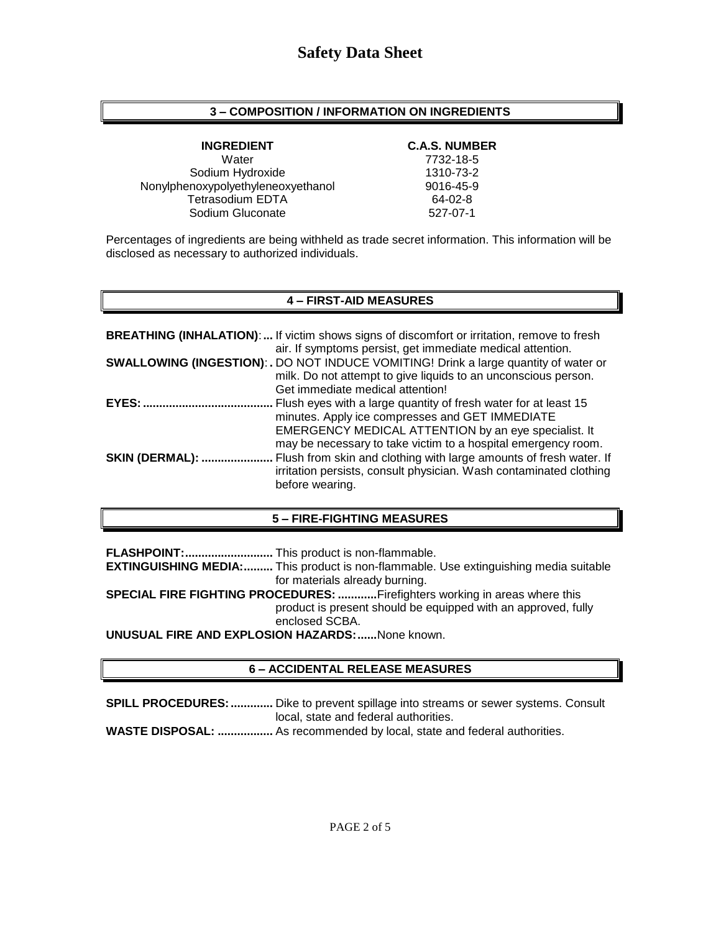### **3 – COMPOSITION / INFORMATION ON INGREDIENTS**

Water 7732-18-5 Sodium Hydroxide 1310-73-2 Nonylphenoxypolyethyleneoxyethanol 9016-45-9 Tetrasodium EDTA 64-02-8<br>
Sodium Gluconate 627-07-1 Sodium Gluconate

### **INGREDIENT C.A.S. NUMBER**

Percentages of ingredients are being withheld as trade secret information. This information will be disclosed as necessary to authorized individuals.

### **4 – FIRST-AID MEASURES**

|                        | <b>BREATHING (INHALATION):</b> If victim shows signs of discomfort or irritation, remove to fresh<br>air. If symptoms persist, get immediate medical attention. |
|------------------------|-----------------------------------------------------------------------------------------------------------------------------------------------------------------|
|                        | <b>SWALLOWING (INGESTION): .</b> DO NOT INDUCE VOMITING! Drink a large quantity of water or                                                                     |
|                        | milk. Do not attempt to give liquids to an unconscious person.<br>Get immediate medical attention!                                                              |
| EYES:                  | Flush eyes with a large quantity of fresh water for at least 15                                                                                                 |
|                        | minutes. Apply ice compresses and GET IMMEDIATE<br>EMERGENCY MEDICAL ATTENTION by an eye specialist. It                                                         |
|                        | may be necessary to take victim to a hospital emergency room.                                                                                                   |
| <b>SKIN (DERMAL): </b> | Flush from skin and clothing with large amounts of fresh water. If<br>irritation persists, consult physician. Wash contaminated clothing<br>before wearing.     |

### **5 – FIRE-FIGHTING MEASURES**

**FLASHPOINT:...........................** This product is non-flammable.

**EXTINGUISHING MEDIA:.........** This product is non-flammable. Use extinguishing media suitable for materials already burning.

**SPECIAL FIRE FIGHTING PROCEDURES: ............**Firefighters working in areas where this product is present should be equipped with an approved, fully enclosed SCBA.

**UNUSUAL FIRE AND EXPLOSION HAZARDS:......**None known.

### **6 – ACCIDENTAL RELEASE MEASURES**

**SPILL PROCEDURES:.............** Dike to prevent spillage into streams or sewer systems. Consult local, state and federal authorities.

**WASTE DISPOSAL: .................** As recommended by local, state and federal authorities.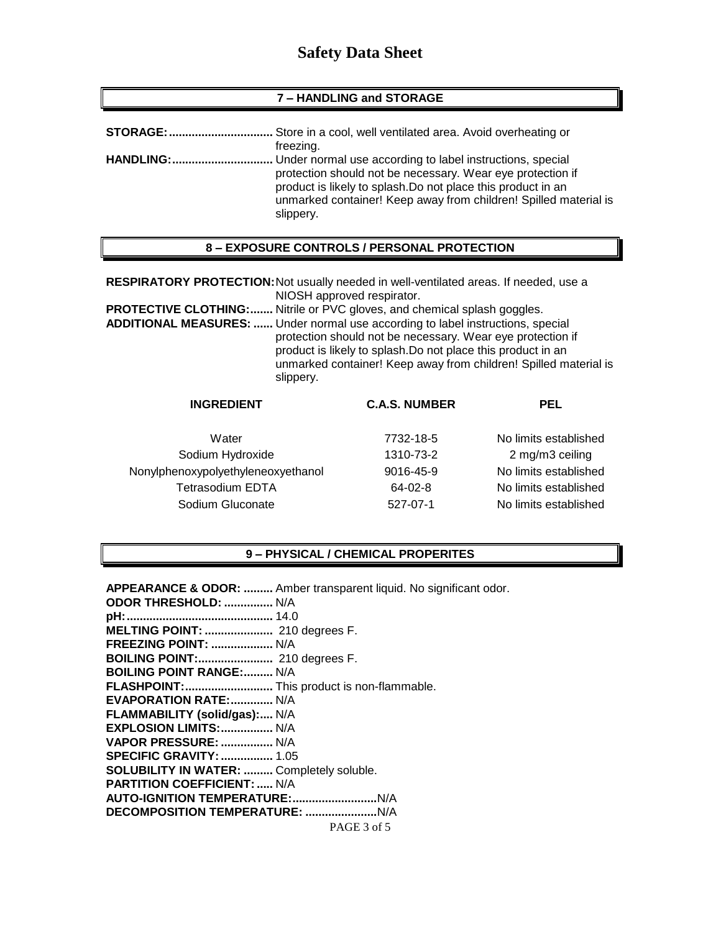#### **7 – HANDLING and STORAGE**

| STORAGE:         | Store in a cool, well ventilated area. Avoid overheating or                                                                                                                                                                                                              |
|------------------|--------------------------------------------------------------------------------------------------------------------------------------------------------------------------------------------------------------------------------------------------------------------------|
|                  | freezing.                                                                                                                                                                                                                                                                |
| <b>HANDLING:</b> | Under normal use according to label instructions, special<br>protection should not be necessary. Wear eye protection if<br>product is likely to splash. Do not place this product in an<br>unmarked container! Keep away from children! Spilled material is<br>slippery. |

#### **8 – EXPOSURE CONTROLS / PERSONAL PROTECTION**

**RESPIRATORY PROTECTION:**Not usually needed in well-ventilated areas. If needed, use a NIOSH approved respirator.

**PROTECTIVE CLOTHING:.......** Nitrile or PVC gloves, and chemical splash goggles.

**ADDITIONAL MEASURES: ......** Under normal use according to label instructions, special protection should not be necessary. Wear eye protection if product is likely to splash.Do not place this product in an unmarked container! Keep away from children! Spilled material is slippery.

| <b>INGREDIENT</b>                  | <b>C.A.S. NUMBER</b> | <b>PEL</b>            |
|------------------------------------|----------------------|-----------------------|
| Water                              | 7732-18-5            | No limits established |
| Sodium Hydroxide                   | 1310-73-2            | 2 mg/m3 ceiling       |
| Nonylphenoxypolyethyleneoxyethanol | 9016-45-9            | No limits established |
| <b>Tetrasodium EDTA</b>            | 64-02-8              | No limits established |
| Sodium Gluconate                   | 527-07-1             | No limits established |

#### **9 – PHYSICAL / CHEMICAL PROPERITES**

PAGE 3 of 5 **APPEARANCE & ODOR: .........** Amber transparent liquid. No significant odor. **ODOR THRESHOLD: ...............** N/A **pH:.............................................** 14.0 **MELTING POINT: .....................** 210 degrees F. **FREEZING POINT: ...................** N/A **BOILING POINT:.......................** 210 degrees F. **BOILING POINT RANGE:.........** N/A **FLASHPOINT:...........................** This product is non-flammable. **EVAPORATION RATE:.............** N/A **FLAMMABILITY (solid/gas):....** N/A **EXPLOSION LIMITS:................** N/A **VAPOR PRESSURE: ................** N/A **SPECIFIC GRAVITY:................** 1.05 **SOLUBILITY IN WATER: .........** Completely soluble. **PARTITION COEFFICIENT: .....** N/A **AUTO-IGNITION TEMPERATURE:..........................**N/A **DECOMPOSITION TEMPERATURE: ......................**N/A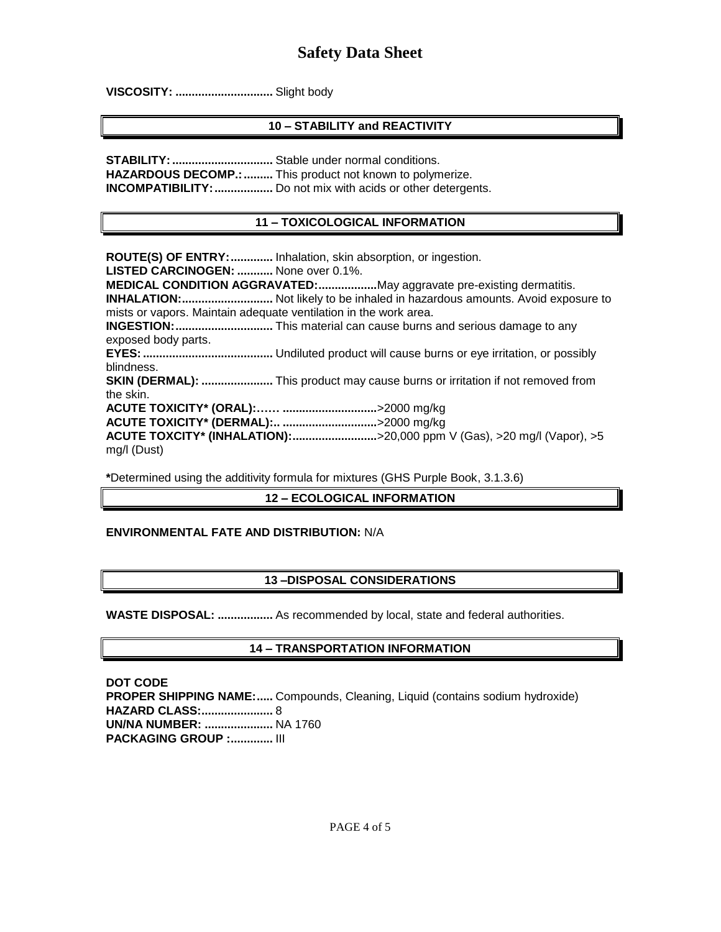**VISCOSITY: ..............................** Slight body

## **10 – STABILITY and REACTIVITY**

**STABILITY: .................................** Stable under normal conditions. **HAZARDOUS DECOMP.:.........** This product not known to polymerize. **INCOMPATIBILITY:..................** Do not mix with acids or other detergents.

### **11 – TOXICOLOGICAL INFORMATION**

**ROUTE(S) OF ENTRY:.............** Inhalation, skin absorption, or ingestion. **LISTED CARCINOGEN: ...........** None over 0.1%. **MEDICAL CONDITION AGGRAVATED:..................**May aggravate pre-existing dermatitis. **INHALATION:............................** Not likely to be inhaled in hazardous amounts. Avoid exposure to mists or vapors. Maintain adequate ventilation in the work area. **INGESTION:..............................** This material can cause burns and serious damage to any exposed body parts. **EYES:........................................** Undiluted product will cause burns or eye irritation, or possibly blindness. **SKIN (DERMAL): ......................** This product may cause burns or irritation if not removed from the skin. **ACUTE TOXICITY\* (ORAL):…… .............................**>2000 mg/kg **ACUTE TOXICITY\* (DERMAL):.. .............................**>2000 mg/kg **ACUTE TOXCITY\* (INHALATION):..........................**>20,000 ppm V (Gas), >20 mg/l (Vapor), >5 mg/l (Dust)

**\***Determined using the additivity formula for mixtures (GHS Purple Book, 3.1.3.6)

### **12 – ECOLOGICAL INFORMATION**

### **ENVIRONMENTAL FATE AND DISTRIBUTION:** N/A

### **13 –DISPOSAL CONSIDERATIONS**

**WASTE DISPOSAL: .................** As recommended by local, state and federal authorities.

### **14 – TRANSPORTATION INFORMATION**

**DOT CODE PROPER SHIPPING NAME:.....** Compounds, Cleaning, Liquid (contains sodium hydroxide) **HAZARD CLASS:......................** 8 **UN/NA NUMBER: .....................** NA 1760 **PACKAGING GROUP :.............** III